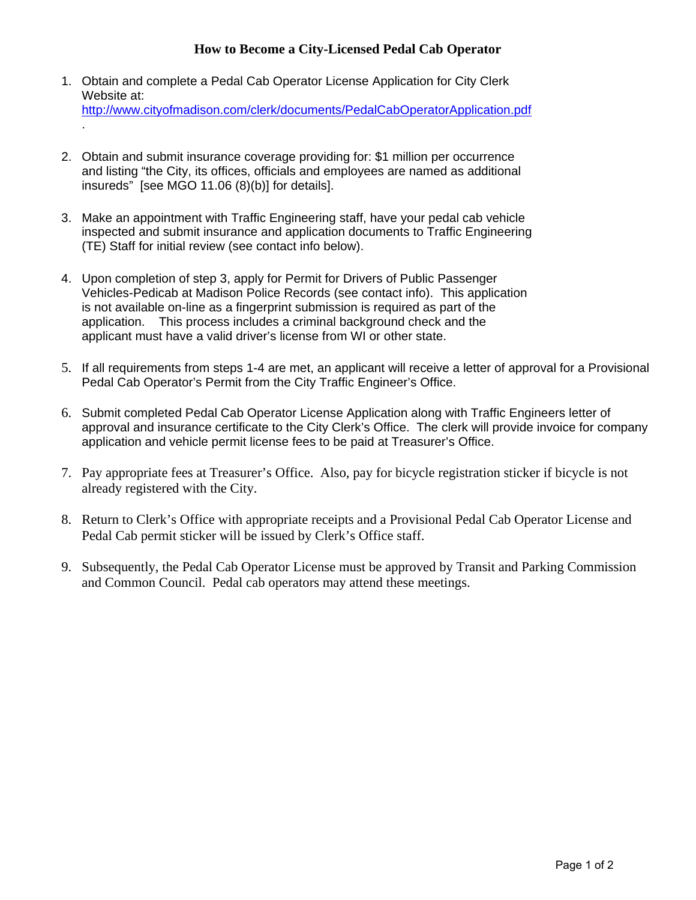# **How to Become a City-Licensed Pedal Cab Operator**

- 1. Obtain and complete a Pedal Cab Operator License Application for City Clerk Website at: http://www.cityofmadison.com/clerk/documents/PedalCabOperatorApplication.pdf .
- 2. Obtain and submit insurance coverage providing for: \$1 million per occurrence and listing "the City, its offices, officials and employees are named as additional insureds" [see MGO 11.06 (8)(b)] for details].
- 3. Make an appointment with Traffic Engineering staff, have your pedal cab vehicle inspected and submit insurance and application documents to Traffic Engineering (TE) Staff for initial review (see contact info below).
- 4. Upon completion of step 3, apply for Permit for Drivers of Public Passenger Vehicles-Pedicab at Madison Police Records (see contact info). This application is not available on-line as a fingerprint submission is required as part of the application. This process includes a criminal background check and the applicant must have a valid driver's license from WI or other state.
- 5. If all requirements from steps 1-4 are met, an applicant will receive a letter of approval for a Provisional Pedal Cab Operator's Permit from the City Traffic Engineer's Office.
- 6. Submit completed Pedal Cab Operator License Application along with Traffic Engineers letter of approval and insurance certificate to the City Clerk's Office. The clerk will provide invoice for company application and vehicle permit license fees to be paid at Treasurer's Office.
- 7. Pay appropriate fees at Treasurer's Office. Also, pay for bicycle registration sticker if bicycle is not already registered with the City.
- 8. Return to Clerk's Office with appropriate receipts and a Provisional Pedal Cab Operator License and Pedal Cab permit sticker will be issued by Clerk's Office staff.
- 9. Subsequently, the Pedal Cab Operator License must be approved by Transit and Parking Commission and Common Council. Pedal cab operators may attend these meetings.